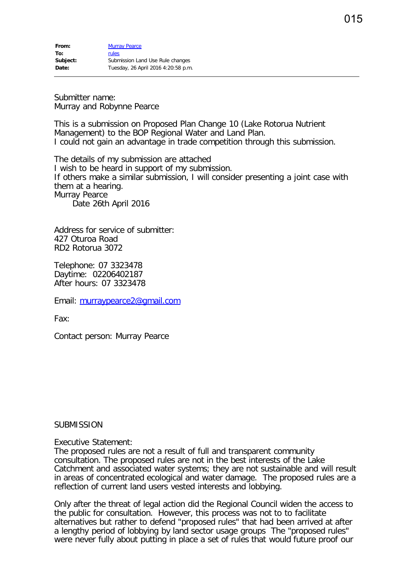Submitter name: Murray and Robynne Pearce

This is a submission on Proposed Plan Change 10 (Lake Rotorua Nutrient Management) to the BOP Regional Water and Land Plan. I could not gain an advantage in trade competition through this submission.

The details of my submission are attached I wish to be heard in support of my submission. If others make a similar submission, I will consider presenting a joint case with them at a hearing. Murray Pearce Date 26th April 2016

Address for service of submitter: 427 Oturoa Road RD2 Rotorua 3072

Telephone: 07 3323478 Daytime: 02206402187 After hours: 07 3323478

Email: [murraypearce2@gmail.com](mailto:murraypearce2@gmail.com)

Fax:

Contact person: Murray Pearce

## SUBMISSION

Executive Statement:

The proposed rules are not a result of full and transparent community consultation. The proposed rules are not in the best interests of the Lake Catchment and associated water systems; they are not sustainable and will result in areas of concentrated ecological and water damage. The proposed rules are a reflection of current land users vested interests and lobbying.

Only after the threat of legal action did the Regional Council widen the access to the public for consultation. However, this process was not to to facilitate alternatives but rather to defend "proposed rules" that had been arrived at after a lengthy period of lobbying by land sector usage groups The "proposed rules" were never fully about putting in place a set of rules that would future proof our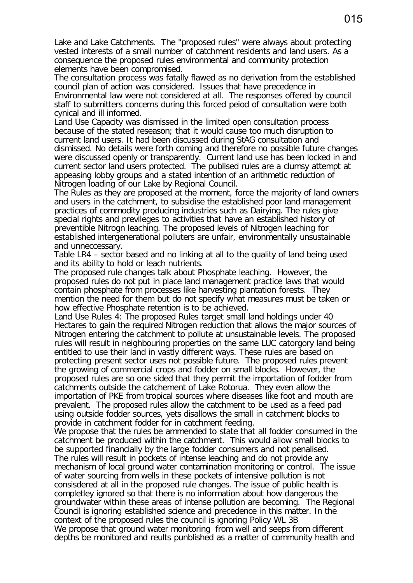Lake and Lake Catchments. The "proposed rules" were always about protecting vested interests of a small number of catchment residents and land users. As a consequence the proposed rules environmental and community protection elements have been compromised.

The consultation process was fatally flawed as no derivation from the established council plan of action was considered. Issues that have precedence in Environmental law were not considered at all. The responses offered by council staff to submitters concerns during this forced peiod of consultation were both cynical and ill informed.

Land Use Capacity was dismissed in the limited open consultation process because of the stated reseason; that it would cause too much disruption to current land users. It had been discussed during StAG consultation and dismissed. No details were forth coming and therefore no possible future changes were discussed openly or transparently. Current land use has been locked in and current sector land users protected. The publised rules are a clumsy attempt at appeasing lobby groups and a stated intention of an arithmetic reduction of Nitrogen loading of our Lake by Regional Council.

The Rules as they are proposed at the moment, force the majority of land owners and users in the catchment, to subsidise the established poor land management practices of commodity producing industries such as Dairying. The rules give special rights and previleges to activities that have an established history of preventible Nitrogn leaching. The proposed levels of Nitrogen leaching for established intergenerational polluters are unfair, environmentally unsustainable and unneccessary.

Table LR4 – sector based and no linking at all to the quality of land being used and its ability to hold or leach nutrients.

The proposed rule changes talk about Phosphate leaching. However, the proposed rules do not put in place land management practice laws that would contain phosphate from processes like harvesting plantation forests. They mention the need for them but do not specify what measures must be taken or how effective Phosphate retention is to be achieved.

Land Use Rules 4: The proposed Rules target small land holdings under 40 Hectares to gain the required Nitrogen reduction that allows the major sources of Nitrogen entering the catchment to pollute at unsustainable levels. The proposed rules will result in neighbouring properties on the same LUC catorgory land being entitled to use their land in vastly different ways. These rules are based on protecting present sector uses not possible future. The proposed rules prevent the growing of commercial crops and fodder on small blocks. However, the proposed rules are so one sided that they permit the importation of fodder from catchments outside the catchement of Lake Rotorua. They even allow the importation of PKE from tropical sources where diseases like foot and mouth are prevalent. The proposed rules allow the catchment to be used as a feed pad using outside fodder sources, yets disallows the small in catchment blocks to provide in catchment fodder for in catchment feeding.

We propose that the rules be ammended to state that all fodder consumed in the catchment be produced within the catchment. This would allow small blocks to be supported financially by the large fodder consumers and not penalised. The rules will result in pockets of intense leaching and do not provide any mechanism of local ground water contamination monitoring or control. The issue of water sourcing from wells in these pockets of intensive pollution is not consisdered at all in the proposed rule changes. The issue of public health is completley ignored so that there is no information about how dangerous the groundwater within these areas of intense pollution are becoming. The Regional Council is ignoring established science and precedence in this matter. In the context of the proposed rules the council is ignoring Policy WL 3B We propose that ground water monitoring from well and seeps from different depths be monitored and reults punblished as a matter of community health and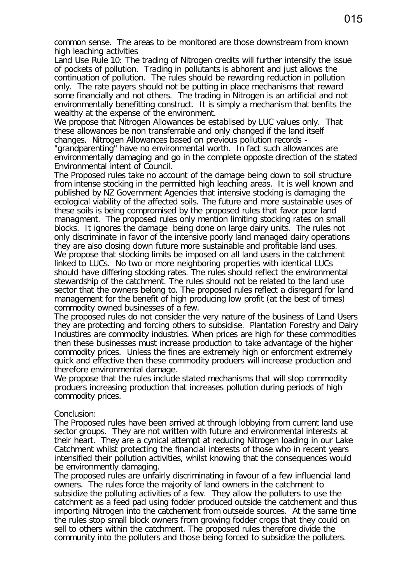common sense. The areas to be monitored are those downstream from known high leaching activities

Land Use Rule 10: The trading of Nitrogen credits will further intensify the issue of pockets of pollution. Trading in pollutants is abhorent and just allows the continuation of pollution. The rules should be rewarding reduction in pollution only. The rate payers should not be putting in place mechanisms that reward some financially and not others. The trading in Nitrogen is an artificial and not environmentally benefitting construct. It is simply a mechanism that benfits the wealthy at the expense of the environment.

We propose that Nitrogen Allowances be establised by LUC values only. That these allowances be non transferrable and only changed if the land itself changes. Nitrogen Allowances based on previous pollution records -

"grandparenting" have no environmental worth. In fact such allowances are environmentally damaging and go in the complete opposte direction of the stated Environmental intent of Council.

The Proposed rules take no account of the damage being down to soil structure from intense stocking in the permitted high leaching areas. It is well known and published by NZ Government Agencies that intensive stocking is damaging the ecological viability of the affected soils. The future and more sustainable uses of these soils is being compromised by the proposed rules that favor poor land managment. The proposed rules only mention limiting stocking rates on small blocks. It ignores the damage being done on large dairy units. The rules not only discriminate in favor of the intensive poorly land managed dairy operations they are also closing down future more sustainable and profitable land uses. We propose that stocking limits be imposed on all land users in the catchment linked to LUCs. No two or more neighboring properties with identical LUCs should have differing stocking rates. The rules should reflect the environmental stewardship of the catchment. The rules should not be related to the land use sector that the owners belong to. The proposed rules reflect a disregard for land management for the benefit of high producing low profit (at the best of times) commodity owned businesses of a few.

The proposed rules do not consider the very nature of the business of Land Users they are protecting and forcing others to subsidise. Plantation Forestry and Dairy Industires are commodity industries. When prices are high for these commodities then these businesses must increase production to take advantage of the higher commodity prices. Unless the fines are extremely high or enforcment extremely quick and effective then these commodity produers will increase production and therefore environmental damage.

We propose that the rules include stated mechanisms that will stop commodity produers increasing production that increases pollution during periods of high commodity prices.

## Conclusion:

The Proposed rules have been arrived at through lobbying from current land use sector groups. They are not written with future and environmental interests at their heart. They are a cynical attempt at reducing Nitrogen loading in our Lake Catchment whilst protecting the financial interests of those who in recent years intensified their pollution activities, whilst knowing that the consequences would be environmently damaging.

The proposed rules are unfairly discriminating in favour of a few influencial land owners. The rules force the majority of land owners in the catchment to subsidize the polluting activities of a few. They allow the polluters to use the catchment as a feed pad using fodder produced outside the catchement and thus importing Nitrogen into the catchement from outseide sources. At the same time the rules stop small block owners from growing fodder crops that they could on sell to others within the catchment. The proposed rules therefore divide the community into the polluters and those being forced to subsidize the polluters.